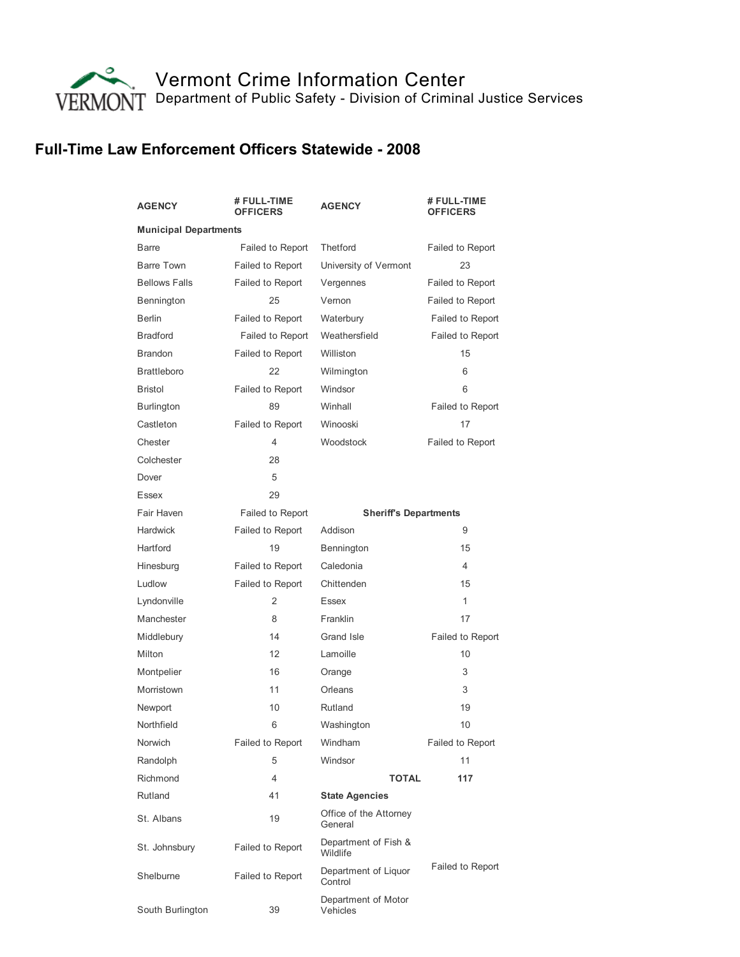

## Full-Time Law Enforcement Officers Statewide - 2008

| <b>AGENCY</b>                | # FULL-TIME<br><b>OFFICERS</b> | <b>AGENCY</b>                     | # FULL-TIME<br><b>OFFICERS</b> |  |  |
|------------------------------|--------------------------------|-----------------------------------|--------------------------------|--|--|
| <b>Municipal Departments</b> |                                |                                   |                                |  |  |
| <b>Barre</b>                 | Failed to Report               | Thetford                          | <b>Failed to Report</b>        |  |  |
| Barre Town                   | Failed to Report               | University of Vermont             | 23                             |  |  |
| <b>Bellows Falls</b>         | Failed to Report               | Vergennes                         | <b>Failed to Report</b>        |  |  |
| Bennington                   | 25                             | Vernon                            | Failed to Report               |  |  |
| <b>Berlin</b>                | Failed to Report               | Waterbury                         | <b>Failed to Report</b>        |  |  |
| <b>Bradford</b>              | Failed to Report               | Weathersfield                     | <b>Failed to Report</b>        |  |  |
| <b>Brandon</b>               | Failed to Report               | Williston                         | 15                             |  |  |
| <b>Brattleboro</b>           | 22                             | Wilmington                        | 6                              |  |  |
| <b>Bristol</b>               | Failed to Report               | Windsor                           | 6                              |  |  |
| <b>Burlington</b>            | 89                             | Winhall                           | Failed to Report               |  |  |
| Castleton                    | Failed to Report               | Winooski                          | 17                             |  |  |
| Chester                      | 4                              | Woodstock                         | Failed to Report               |  |  |
| Colchester                   | 28                             |                                   |                                |  |  |
| Dover                        | 5                              |                                   |                                |  |  |
| Essex                        | 29                             |                                   |                                |  |  |
| Fair Haven                   | Failed to Report               | <b>Sheriff's Departments</b>      |                                |  |  |
| <b>Hardwick</b>              | Failed to Report               | Addison                           | 9                              |  |  |
| Hartford                     | 19                             | Bennington                        | 15                             |  |  |
| Hinesburg                    | Failed to Report               | Caledonia                         | $\overline{4}$                 |  |  |
| Ludlow                       | Failed to Report               | Chittenden                        | 15                             |  |  |
| Lyndonville                  | 2                              | Essex                             | 1                              |  |  |
| Manchester                   | 8                              | Franklin                          | 17                             |  |  |
| Middlebury                   | 14                             | Grand Isle                        | <b>Failed to Report</b>        |  |  |
| Milton                       | 12                             | Lamoille                          | 10                             |  |  |
| Montpelier                   | 16                             | Orange                            | 3                              |  |  |
| Morristown                   | 11                             | Orleans                           | 3                              |  |  |
| Newport                      | 10                             | Rutland                           | 19                             |  |  |
| Northfield                   | 6                              | Washington                        | 10                             |  |  |
| Norwich                      | Failed to Report               | Windham                           | Failed to Report               |  |  |
| Randolph                     | 5                              | Windsor                           | 11                             |  |  |
| Richmond                     | 4                              | TOTAL                             | 117                            |  |  |
| Rutland                      | 41                             | <b>State Agencies</b>             |                                |  |  |
| St. Albans                   | 19                             | Office of the Attorney<br>General |                                |  |  |
| St. Johnsbury                | Failed to Report               | Department of Fish &<br>Wildlife  |                                |  |  |
| Shelburne                    | Failed to Report               | Department of Liquor<br>Control   | <b>Failed to Report</b>        |  |  |
| South Burlington             | 39                             | Department of Motor<br>Vehicles   |                                |  |  |